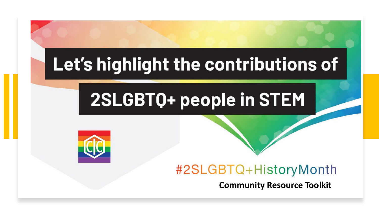# Let's highlight the contributions of

# 2SLGBT0+ people in STEM



## #2SLGBTQ+HistoryMonth

**Community Resource Toolkit**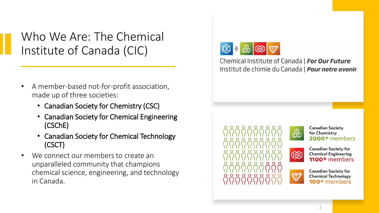Who We Are: The Chemical Institute of Canada (CIC)

- A member-based not-for-profit association, made up of three societies:
	- Canadian Society for Chemistry (CSC)
	- Canadian Society for Chemical Engineering (CSChE)
	- Canadian Society for Chemical Technology (CSCT)
- We connect our members to create an unparalleled community that champions chemical science, engineering, and technology in Canada.



Chemical Institute of Canada | For Our Future Institut de chimie du Canada | **Pour notre avenir** 





 $\mathbf{\nabla}$ 

**Canadian Society** for Chemistry 2000+ members



**Canadian Society for Chemical Technology** 100<sup>+</sup> members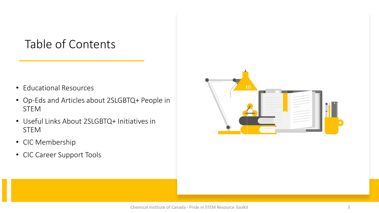## Table of Contents

- Educational Resources
- Op-Eds and Articles about 2SLGBTQ+ People in STEM
- Useful Links About 2SLGBTQ+ Initiatives in STEM
- CIC Membership
- CIC Career Support Tools

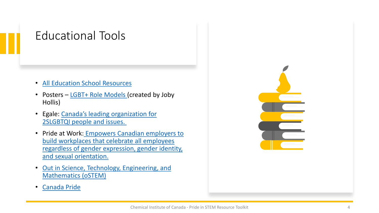#### Educational Tools

- [All Education School Resources](https://www.alleducationschools.com/resources/stem-education/)
- Posters [LGBT+ Role Models](https://drive.google.com/drive/folders/0B6yUyaU0iOLQZmR1M09HMkE4djg) (created by Joby Hollis)
- [Egale: Canada's leading organization for](https://egale.ca/) 2SLGBTQI people and issues.
- Pride at Work: Empowers Canadian employers to build workplaces that celebrate all employees [regardless of gender expression, gender identity,](https://prideatwork.ca/)  and sexual orientation.
- [Out in Science, Technology, Engineering, and](https://www.ostem.org/)  Mathematics (oSTEM)
- [Canada Pride](https://fiertecanadapride.org/)

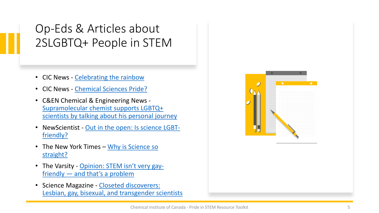## Op-Eds & Articles about 2SLGBTQ+ People in STEM

- CIC News [Celebrating the rainbow](https://www.cheminst.ca/magazine/article/celebrating-the-rainbow/)
- CIC News [Chemical Sciences Pride?](https://www.cheminst.ca/magazine/article/chemical-sciences-pride/)
- C&EN Chemical & Engineering News Supramolecular chemist supports LGBTQ+ [scientists by talking about his personal journey](https://cen.acs.org/careers/diversity/Science-full-personal-stories-Yorks/96/i18)
- NewScientist [Out in the open: Is science LGBT](https://www.newscientist.com/article/dn26511-out-in-the-open-is-science-lgbt-friendly/)friendly?
- [The New York Times –](https://www.nytimes.com/2015/09/05/opinion/manil-suri-why-is-science-so-straight.html?_r=0) Why is Science so straight?
- The Varsity [Opinion: STEM isn't very gay](https://thevarsity.ca/2020/09/07/opinion-stem-isnt-very-gay-friendly-and-thats-a-problem/)friendly — and that's a problem
- Science Magazine Closeted discoverers: [Lesbian, gay, bisexual, and transgender scientists](https://www.sciencemag.org/features/2010/10/closeted-discoverers-lesbian-gay-bisexual-and-transgender-scientists)

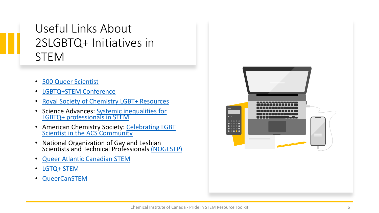## Useful Links About 2SLGBTQ+ Initiatives in **STEM**

- [500 Queer Scientist](https://500queerscientists.com/)
- [LGBTQ+STEM Conference](https://lgbtqplusstem.ca/)
- [Royal Society of Chemistry LGBT+ Resources](https://www.rsc.org/new-perspectives/talent/inclusion-and-diversity/resources/lgbt-toolkit/)
- [Science Advances: Systemic inequalities for](https://advances.sciencemag.org/content/7/3/eabe0933) [LGBTQ+ professionals in STEM](https://advances.sciencemag.org/content/7/3/eabe0933)
- American Chemistry Society: Celebrating LGBT<br>Scientist in the ACS Community
- National Organization of Gay and Lesbian Scientists and Technical Professionals [\(NOGLSTP\)](https://www.noglstp.org/)
- [Queer Atlantic Canadian STEM](https://qatcanstem.github.io/)
- [LGTQ+ STEM](https://lgbtstem.wordpress.com/tag/canada/)
- [QueerCanSTEM](https://queercanstem.com/)

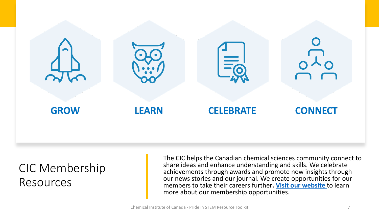

#### CIC Membership Resources

The CIC helps the Canadian chemical sciences community connect to share ideas and enhance understanding and skills. We celebrate achievements through awards and promote new insights through our news stories and our journal. We create opportunities for our members to take their careers further**. [Visit our website](https://www.cheminst.ca/membership/member-access/)** to learn more about our membership opportunities.